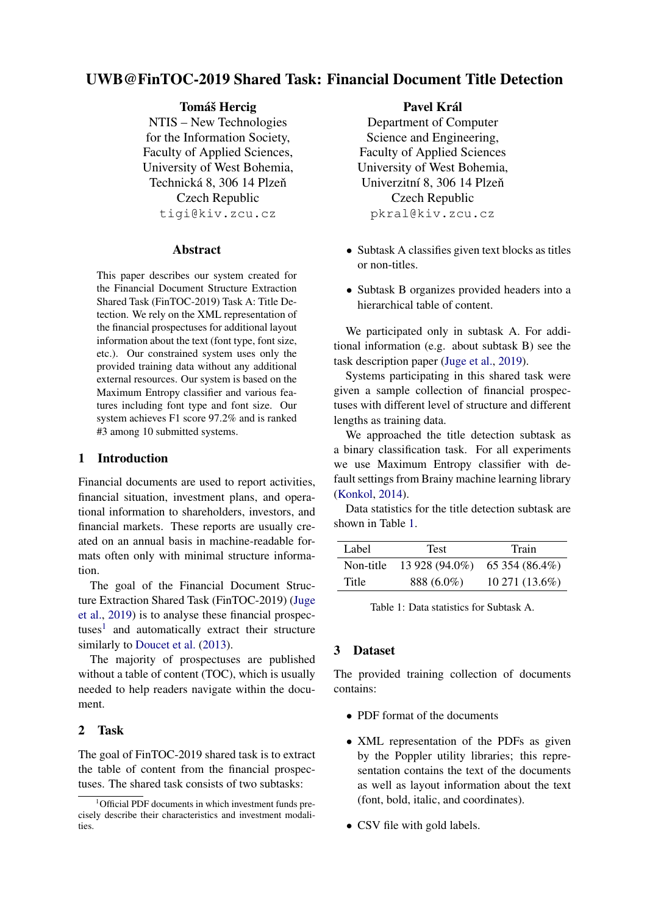# <span id="page-0-1"></span>UWB@FinTOC-2019 Shared Task: Financial Document Title Detection

Tomáš Hercig

NTIS – New Technologies for the Information Society, Faculty of Applied Sciences, University of West Bohemia, Technická 8, 306 14 Plzeň Czech Republic tigi@kiv.zcu.cz

### Abstract

This paper describes our system created for the Financial Document Structure Extraction Shared Task (FinTOC-2019) Task A: Title Detection. We rely on the XML representation of the financial prospectuses for additional layout information about the text (font type, font size, etc.). Our constrained system uses only the provided training data without any additional external resources. Our system is based on the Maximum Entropy classifier and various features including font type and font size. Our system achieves F1 score 97.2% and is ranked #3 among 10 submitted systems.

# 1 Introduction

Financial documents are used to report activities, financial situation, investment plans, and operational information to shareholders, investors, and financial markets. These reports are usually created on an annual basis in machine-readable formats often only with minimal structure information.

The goal of the Financial Document Structure Extraction Shared Task (FinTOC-2019) [\(Juge](#page-3-0) [et al.,](#page-3-0) [2019\)](#page-3-0) is to analyse these financial prospectuses<sup>1</sup> and automatically extract their structure similarly to [Doucet et al.](#page-3-1)  $(2013)$ .

The majority of prospectuses are published without a table of content (TOC), which is usually needed to help readers navigate within the document.

# 2 Task

The goal of FinTOC-2019 shared task is to extract the table of content from the financial prospectuses. The shared task consists of two subtasks:

#### Pavel Král

Department of Computer Science and Engineering, Faculty of Applied Sciences University of West Bohemia, Univerzitní 8, 306 14 Plzeň Czech Republic pkral@kiv.zcu.cz

- Subtask A classifies given text blocks as titles or non-titles.
- Subtask B organizes provided headers into a hierarchical table of content.

We participated only in subtask A. For additional information (e.g. about subtask B) see the task description paper [\(Juge et al.,](#page-3-0) [2019\)](#page-3-0).

Systems participating in this shared task were given a sample collection of financial prospectuses with different level of structure and different lengths as training data.

We approached the title detection subtask as a binary classification task. For all experiments we use Maximum Entropy classifier with default settings from Brainy machine learning library [\(Konkol,](#page-4-0) [2014\)](#page-4-0).

Data statistics for the title detection subtask are shown in Table [1.](#page-0-0)

<span id="page-0-0"></span>

| Label     | <b>Test</b>    | Train           |
|-----------|----------------|-----------------|
| Non-title | 13 928 (94.0%) | $65354(86.4\%)$ |
| Title     | 888 (6.0%)     | 10 271 (13.6%)  |

Table 1: Data statistics for Subtask A.

# 3 Dataset

The provided training collection of documents contains:

- PDF format of the documents
- XML representation of the PDFs as given by the Poppler utility libraries; this representation contains the text of the documents as well as layout information about the text (font, bold, italic, and coordinates).
- CSV file with gold labels.

<sup>&</sup>lt;sup>1</sup>Official PDF documents in which investment funds precisely describe their characteristics and investment modalities.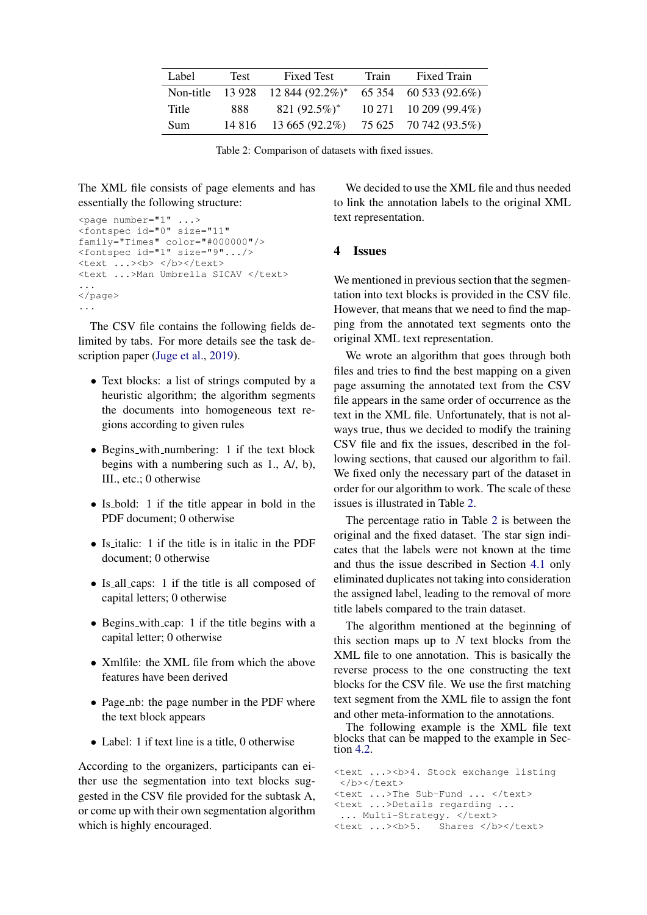<span id="page-1-0"></span>

| Label      | Test    | <b>Fixed Test</b>         | Train | <b>Fixed Train</b>            |
|------------|---------|---------------------------|-------|-------------------------------|
| Non-title  |         | $13\,928$ 12 844 (92.2%)* |       | 65 354 60 533 (92.6%)         |
| Title      | 888.    | 821 $(92.5\%)^*$          |       | $10\,271$ $10\,209\,(99.4\%)$ |
| <b>Sum</b> | 14 8 16 | 13 665 (92.2%)            |       | 75 625 70 742 (93.5%)         |

Table 2: Comparison of datasets with fixed issues.

The XML file consists of page elements and has essentially the following structure:

```
<page number="1" ...>
<fontspec id="0" size="11"
family="Times" color="#000000"/>
<fontspec id="1" size="9".../>
<text ...><b> </b></text>
<text ...>Man Umbrella SICAV </text>
...
</page>
...
```
The CSV file contains the following fields delimited by tabs. For more details see the task description paper [\(Juge et al.,](#page-3-0) [2019\)](#page-3-0).

- Text blocks: a list of strings computed by a heuristic algorithm; the algorithm segments the documents into homogeneous text regions according to given rules
- Begins\_with\_numbering: 1 if the text block begins with a numbering such as 1., A/, b), III., etc.; 0 otherwise
- Is bold: 1 if the title appear in bold in the PDF document; 0 otherwise
- Is italic: 1 if the title is in italic in the PDF document; 0 otherwise
- Is all caps: 1 if the title is all composed of capital letters; 0 otherwise
- Begins\_with\_cap: 1 if the title begins with a capital letter; 0 otherwise
- Xmlfile: the XML file from which the above features have been derived
- Page\_nb: the page number in the PDF where the text block appears
- Label: 1 if text line is a title, 0 otherwise

According to the organizers, participants can either use the segmentation into text blocks suggested in the CSV file provided for the subtask A, or come up with their own segmentation algorithm which is highly encouraged.

We decided to use the XML file and thus needed to link the annotation labels to the original XML text representation.

#### 4 Issues

We mentioned in previous section that the segmentation into text blocks is provided in the CSV file. However, that means that we need to find the mapping from the annotated text segments onto the original XML text representation.

We wrote an algorithm that goes through both files and tries to find the best mapping on a given page assuming the annotated text from the CSV file appears in the same order of occurrence as the text in the XML file. Unfortunately, that is not always true, thus we decided to modify the training CSV file and fix the issues, described in the following sections, that caused our algorithm to fail. We fixed only the necessary part of the dataset in order for our algorithm to work. The scale of these issues is illustrated in Table [2.](#page-1-0)

The percentage ratio in Table [2](#page-1-0) is between the original and the fixed dataset. The star sign indicates that the labels were not known at the time and thus the issue described in Section [4.1](#page-2-0) only eliminated duplicates not taking into consideration the assigned label, leading to the removal of more title labels compared to the train dataset.

The algorithm mentioned at the beginning of this section maps up to  $N$  text blocks from the XML file to one annotation. This is basically the reverse process to the one constructing the text blocks for the CSV file. We use the first matching text segment from the XML file to assign the font and other meta-information to the annotations.

The following example is the XML file text blocks that can be mapped to the example in Section [4.2.](#page-2-1)

<text ...><b>4. Stock exchange listing </b></text> <text ...>The Sub-Fund ... </text> <text ...>Details regarding ... ... Multi-Strategy. </text> <text ...><b>>5. Shares </b></text>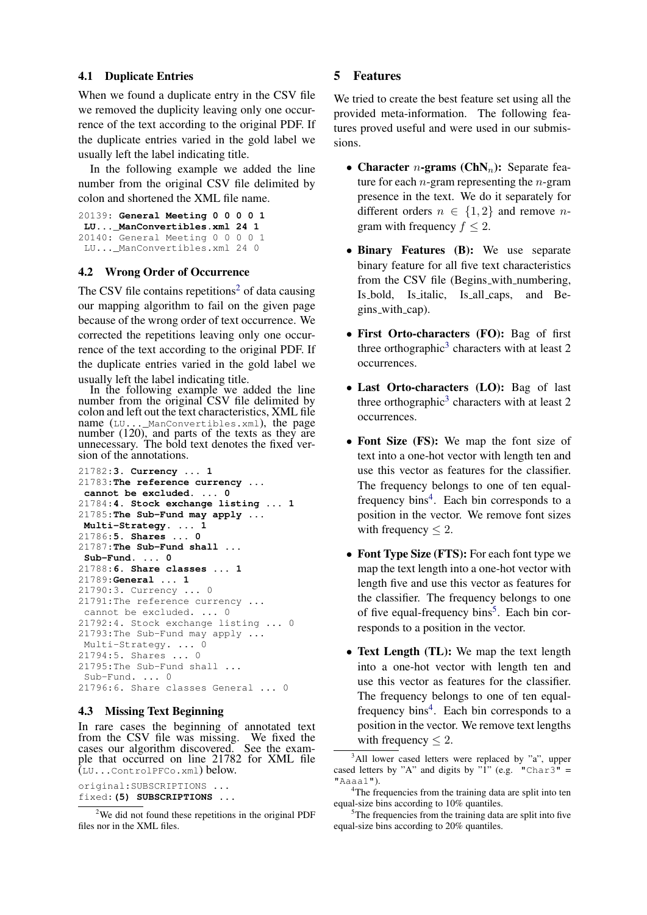## <span id="page-2-0"></span>4.1 Duplicate Entries

When we found a duplicate entry in the CSV file we removed the duplicity leaving only one occurrence of the text according to the original PDF. If the duplicate entries varied in the gold label we usually left the label indicating title.

In the following example we added the line number from the original CSV file delimited by colon and shortened the XML file name.

```
20139: General Meeting 0 0 0 0 1
LU..._ManConvertibles.xml 24 1
20140: General Meeting 0 0 0 0 1
LU... ManConvertibles.xml 24 0
```
## <span id="page-2-1"></span>4.2 Wrong Order of Occurrence

The CSV file contains repetitions<sup>[2](#page-0-1)</sup> of data causing our mapping algorithm to fail on the given page because of the wrong order of text occurrence. We corrected the repetitions leaving only one occurrence of the text according to the original PDF. If the duplicate entries varied in the gold label we usually left the label indicating title.

In the following example we added the line number from the original CSV file delimited by colon and left out the text characteristics, XML file name (LU...\_ManConvertibles.xml), the page number  $(120)$ , and parts of the texts as they are unnecessary. The bold text denotes the fixed version of the annotations.

```
21782:3. Currency ... 1
21783:The reference currency ...
cannot be excluded. ... 0
21784:4. Stock exchange listing ... 1
21785:The Sub-Fund may apply ...
Multi-Strategy. ... 1
21786:5. Shares ... 0
21787:The Sub-Fund shall ...
Sub-Fund. ... 0
21788:6. Share classes ... 1
21789:General ... 1
21790:3. Currency ... 0
21791:The reference currency ...
cannot be excluded. ... 0
21792:4. Stock exchange listing ... 0
21793:The Sub-Fund may apply ...
Multi-Strategy. ... 0
21794:5. Shares ... 0
21795:The Sub-Fund shall ...
Sub-Fund. ... 0
21796:6. Share classes General ... 0
```
# 4.3 Missing Text Beginning

In rare cases the beginning of annotated text from the CSV file was missing. We fixed the cases our algorithm discovered. See the example that occurred on line 21782 for XML file (LU...ControlPFCo.xml) below.

original:SUBSCRIPTIONS ... fixed:**(5) SUBSCRIPTIONS ...**

## <span id="page-2-2"></span>5 Features

We tried to create the best feature set using all the provided meta-information. The following features proved useful and were used in our submissions.

- Character *n*-grams (ChN<sub>n</sub>): Separate feature for each  $n$ -gram representing the  $n$ -gram presence in the text. We do it separately for different orders  $n \in \{1,2\}$  and remove *n*gram with frequency  $f \leq 2$ .
- Binary Features (B): We use separate binary feature for all five text characteristics from the CSV file (Begins\_with\_numbering, Is bold, Is italic, Is all caps, and Begins with cap).
- First Orto-characters (FO): Bag of first three orthographic<sup>[3](#page-0-1)</sup> characters with at least 2 occurrences.
- Last Orto-characters (LO): Bag of last three orthographic<sup>[3](#page-0-1)</sup> characters with at least 2 occurrences.
- Font Size (FS): We map the font size of text into a one-hot vector with length ten and use this vector as features for the classifier. The frequency belongs to one of ten equal-frequency bins<sup>[4](#page-0-1)</sup>. Each bin corresponds to a position in the vector. We remove font sizes with frequency  $\leq 2$ .
- Font Type Size (FTS): For each font type we map the text length into a one-hot vector with length five and use this vector as features for the classifier. The frequency belongs to one of five equal-frequency bins<sup>[5](#page-0-1)</sup>. Each bin corresponds to a position in the vector.
- Text Length (TL): We map the text length into a one-hot vector with length ten and use this vector as features for the classifier. The frequency belongs to one of ten equal-frequency bins<sup>[4](#page-0-1)</sup>. Each bin corresponds to a position in the vector. We remove text lengths with frequency  $\leq 2$ .

 $2$ We did not found these repetitions in the original PDF files nor in the XML files.

<sup>&</sup>lt;sup>3</sup>All lower cased letters were replaced by "a", upper cased letters by "A" and digits by "1" (e.g. "Char3" = "Aaaa1").

<sup>&</sup>lt;sup>4</sup>The frequencies from the training data are split into ten equal-size bins according to 10% quantiles.

<sup>&</sup>lt;sup>5</sup>The frequencies from the training data are split into five equal-size bins according to 20% quantiles.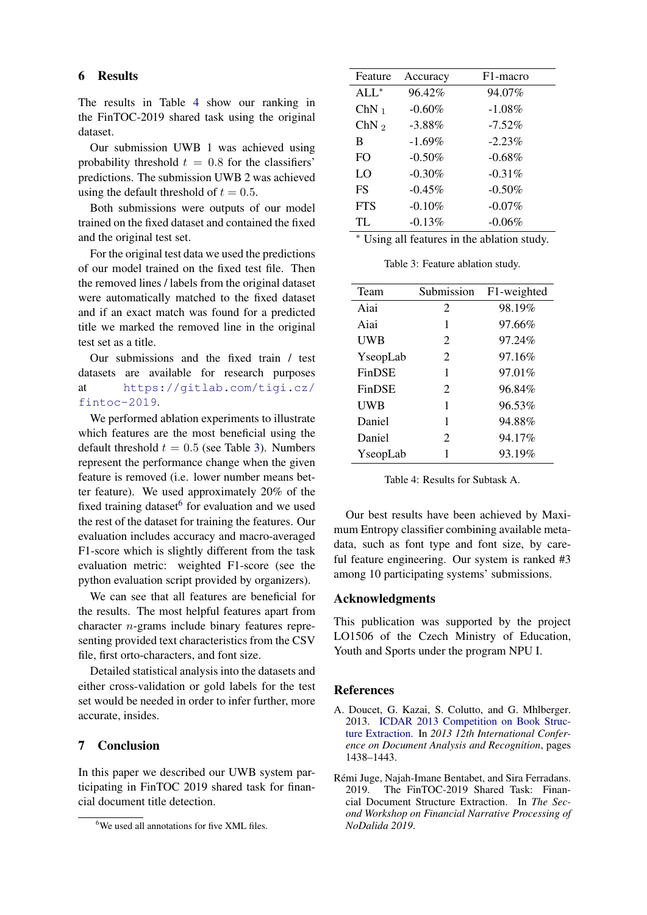## 6 Results

The results in Table [4](#page-3-2) show our ranking in the FinTOC-2019 shared task using the original dataset.

Our submission UWB 1 was achieved using probability threshold  $t = 0.8$  for the classifiers' predictions. The submission UWB 2 was achieved using the default threshold of  $t = 0.5$ .

Both submissions were outputs of our model trained on the fixed dataset and contained the fixed and the original test set.

For the original test data we used the predictions of our model trained on the fixed test file. Then the removed lines / labels from the original dataset were automatically matched to the fixed dataset and if an exact match was found for a predicted title we marked the removed line in the original test set as a title.

Our submissions and the fixed train / test datasets are available for research purposes at [https://gitlab.com/tigi.cz/](https://gitlab.com/tigi.cz/fintoc-2019) [fintoc-2019](https://gitlab.com/tigi.cz/fintoc-2019).

We performed ablation experiments to illustrate which features are the most beneficial using the default threshold  $t = 0.5$  (see Table [3\)](#page-3-3). Numbers represent the performance change when the given feature is removed (i.e. lower number means better feature). We used approximately 20% of the fixed training dataset<sup>[6](#page-0-1)</sup> for evaluation and we used the rest of the dataset for training the features. Our evaluation includes accuracy and macro-averaged F1-score which is slightly different from the task evaluation metric: weighted F1-score (see the python evaluation script provided by organizers).

We can see that all features are beneficial for the results. The most helpful features apart from character n-grams include binary features representing provided text characteristics from the CSV file, first orto-characters, and font size.

Detailed statistical analysis into the datasets and either cross-validation or gold labels for the test set would be needed in order to infer further, more accurate, insides.

# 7 Conclusion

In this paper we described our UWB system participating in FinTOC 2019 shared task for financial document title detection.

<span id="page-3-3"></span>

| Feature          | Accuracy  | F <sub>1</sub> -macro |
|------------------|-----------|-----------------------|
| $ALL^*$          | 96.42%    | 94.07%                |
| $ChN_1$          | $-0.60%$  | $-1.08\%$             |
| ChN <sub>2</sub> | $-3.88%$  | $-7.52\%$             |
| B                | $-1.69%$  | $-2.23%$              |
| F <sub>O</sub>   | $-0.50%$  | $-0.68\%$             |
| LO               | $-0.30%$  | $-0.31\%$             |
| <b>FS</b>        | $-0.45\%$ | $-0.50%$              |
| <b>FTS</b>       | $-0.10%$  | $-0.07%$              |
| TL               | $-0.13%$  | $-0.06\%$             |
|                  |           |                       |

<sup>∗</sup> Using all features in the ablation study.

Table 3: Feature ablation study.

<span id="page-3-2"></span>

| Team          | Submission            | F1-weighted |
|---------------|-----------------------|-------------|
| Aiai          | 2                     | 98.19%      |
| Aiai          | 1                     | 97.66%      |
| UWB           | 2                     | 97.24%      |
| YseopLab      | 2                     | 97.16%      |
| <b>FinDSE</b> | 1                     | 97.01%      |
| <b>FinDSE</b> | 2                     | 96.84%      |
| UWB           | 1                     | 96.53%      |
| Daniel        | 1                     | 94.88%      |
| Daniel        | $\mathcal{D}_{\cdot}$ | 94.17%      |
| YseopLab      |                       | 93.19%      |

Table 4: Results for Subtask A.

Our best results have been achieved by Maximum Entropy classifier combining available metadata, such as font type and font size, by careful feature engineering. Our system is ranked #3 among 10 participating systems' submissions.

#### Acknowledgments

This publication was supported by the project LO1506 of the Czech Ministry of Education, Youth and Sports under the program NPU I.

## References

- <span id="page-3-1"></span>A. Doucet, G. Kazai, S. Colutto, and G. Mhlberger. 2013. [ICDAR 2013 Competition on Book Struc](https://doi.org/10.1109/ICDAR.2013.290)[ture Extraction.](https://doi.org/10.1109/ICDAR.2013.290) In *2013 12th International Conference on Document Analysis and Recognition*, pages 1438–1443.
- <span id="page-3-0"></span>Rémi Juge, Najah-Imane Bentabet, and Sira Ferradans. 2019. The FinTOC-2019 Shared Task: Financial Document Structure Extraction. In *The Second Workshop on Financial Narrative Processing of NoDalida 2019*.

<sup>&</sup>lt;sup>6</sup>We used all annotations for five XML files.